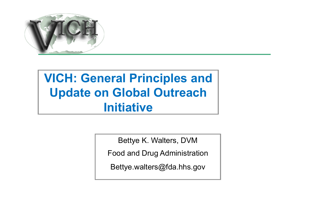

#### **VICH: General Principles and Update on Global Outreach Initiative**

Bettye K. Walters, DVM

Food and Drug Administration

Bettye.walters@fda.hhs.gov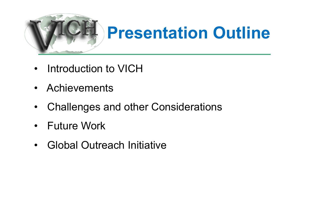

- Introduction to VICH
- Achievements
- Challenges and other Considerations
- Future Work
- Global Outreach Initiative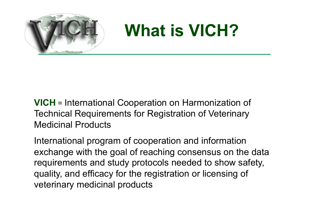

### **What is VICH?**

**VICH** = International Cooperation on Harmonization of Technical Requirements for Registration of Veterinary Medicinal Products

International program of cooperation and information exchange with the goal of reaching consensus on the data requirements and study protocols needed to show safety, quality, and efficacy for the registration or licensing of veterinary medicinal products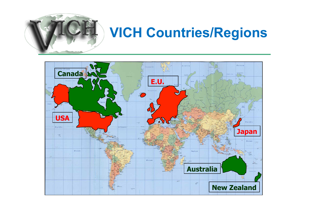

#### **VICH Countries/Regions**

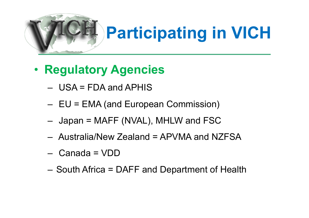

# **Participating in VICH**

#### • **Regulatory Agencies**

- USA = FDA and APHIS
- EU = EMA (and European Commission)
- Japan = MAFF (NVAL), MHLW and FSC
- Australia/New Zealand = APVMA and NZFSA
- Canada = VDD
- South Africa = DAFF and Department of Health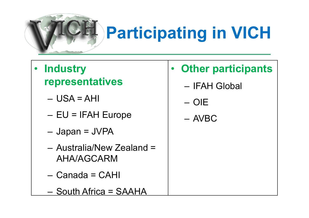

# **Participating in VICH**

- **Industry representatives** 
	- $-$  USA = AHI
	- $EU = IFAH Europe$
	- Japan = JVPA
	- Australia/New Zealand = AHA/AGCARM
	- Canada = CAHI
	- South Africa = SAAHA
- **Other participants** 
	- IFAH Global
	- OIE
	- AVBC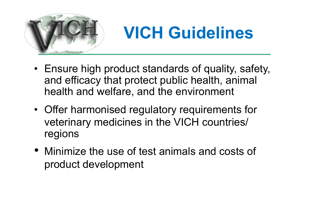

### **VICH Guidelines**

- Ensure high product standards of quality, safety, and efficacy that protect public health, animal health and welfare, and the environment
- Offer harmonised regulatory requirements for veterinary medicines in the VICH countries/ regions
- Minimize the use of test animals and costs of product development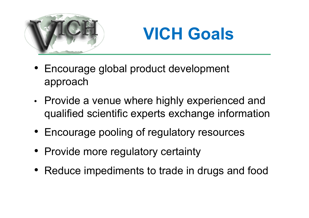



- Encourage global product development approach
- Provide a venue where highly experienced and qualified scientific experts exchange information
- Encourage pooling of regulatory resources
- Provide more regulatory certainty
- Reduce impediments to trade in drugs and food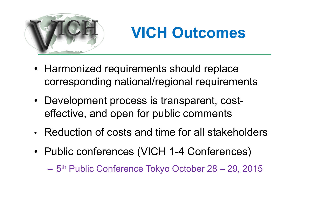



- Harmonized requirements should replace corresponding national/regional requirements
- Development process is transparent, costeffective, and open for public comments
- Reduction of costs and time for all stakeholders
- Public conferences (VICH 1-4 Conferences)

– 5th Public Conference Tokyo October 28 – 29, 2015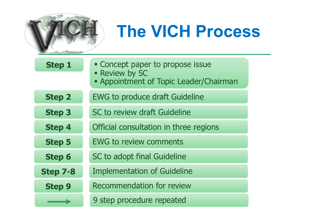

### **The VICH Process**

| <b>Step 1</b>   | • Concept paper to propose issue<br>- Review by SC<br>• Appointment of Topic Leader/Chairman |
|-----------------|----------------------------------------------------------------------------------------------|
| <b>Step 2</b>   | <b>EWG to produce draft Guideline</b>                                                        |
| <b>Step 3</b>   | SC to review draft Guideline                                                                 |
| <b>Step 4</b>   | Official consultation in three regions                                                       |
| <b>Step 5</b>   | <b>EWG to review comments</b>                                                                |
| <b>Step 6</b>   | SC to adopt final Guideline                                                                  |
| <b>Step 7-8</b> | <b>Implementation of Guideline</b>                                                           |
| <b>Step 9</b>   | <b>Recommendation for review</b>                                                             |
|                 | 9 step procedure repeated                                                                    |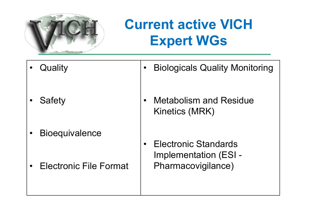

### **Current active VICH Expert WGs**

- Quality
- Safety
- Bioequivalence

• Electronic File Format

• Biologicals Quality Monitoring

- Metabolism and Residue Kinetics (MRK)
- Electronic Standards Implementation (ESI - Pharmacovigilance)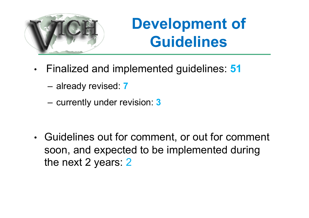

### **Development of Guidelines**

- Finalized and implemented guidelines: **51** 
	- already revised: **7**
	- currently under revision: **3**

• Guidelines out for comment, or out for comment soon, and expected to be implemented during the next 2 years: 2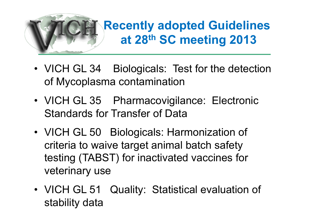

#### **Recently adopted Guidelines at 28th SC meeting 2013**

- VICH GL 34 Biologicals: Test for the detection of Mycoplasma contamination
- VICH GL 35 Pharmacovigilance: Electronic Standards for Transfer of Data
- VICH GL 50 Biologicals: Harmonization of criteria to waive target animal batch safety testing (TABST) for inactivated vaccines for veterinary use
- VICH GL 51 Quality: Statistical evaluation of stability data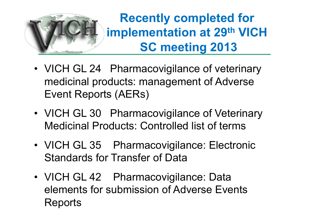

- VICH GL 24 Pharmacovigilance of veterinary medicinal products: management of Adverse Event Reports (AERs)
- VICH GL 30 Pharmacovigilance of Veterinary Medicinal Products: Controlled list of terms
- VICH GL 35 Pharmacovigilance: Electronic Standards for Transfer of Data
- VICH GL 42 Pharmacovigilance: Data elements for submission of Adverse Events Reports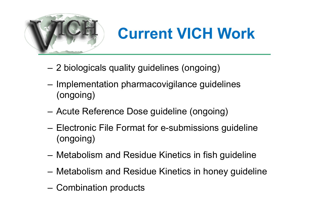

### **Current VICH Work**

- 2 biologicals quality guidelines (ongoing)
- Implementation pharmacovigilance guidelines (ongoing)
- Acute Reference Dose guideline (ongoing)
- Electronic File Format for e-submissions guideline (ongoing)
- Metabolism and Residue Kinetics in fish guideline
- Metabolism and Residue Kinetics in honey guideline
- Combination products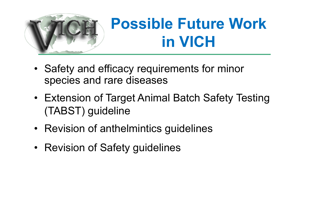

### **Possible Future Work in VICH**

- Safety and efficacy requirements for minor species and rare diseases
- Extension of Target Animal Batch Safety Testing (TABST) guideline
- Revision of anthelmintics guidelines
- Revision of Safety guidelines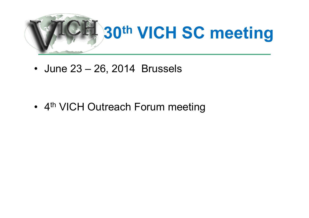

• June 23 – 26, 2014 Brussels

• 4<sup>th</sup> VICH Outreach Forum meeting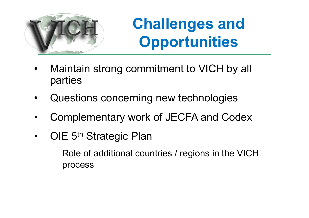

### **Challenges and Opportunities**

- Maintain strong commitment to VICH by all parties
- Questions concerning new technologies
- Complementary work of JECFA and Codex
- OIE 5<sup>th</sup> Strategic Plan
	- Role of additional countries / regions in the VICH process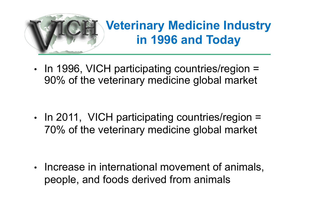

#### **Veterinary Medicine Industry in 1996 and Today**

• In 1996, VICH participating countries/region = 90% of the veterinary medicine global market

• In 2011, VICH participating countries/region = 70% of the veterinary medicine global market

• Increase in international movement of animals, people, and foods derived from animals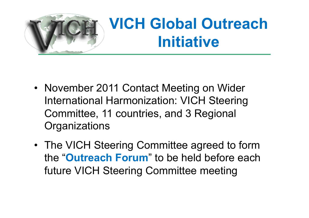

### **VICH Global Outreach Initiative**

- November 2011 Contact Meeting on Wider International Harmonization: VICH Steering Committee, 11 countries, and 3 Regional **Organizations**
- The VICH Steering Committee agreed to form the "**Outreach Forum**" to be held before each future VICH Steering Committee meeting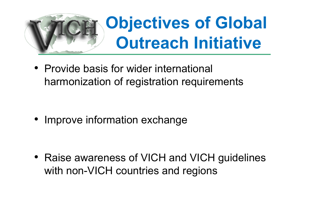

• Provide basis for wider international harmonization of registration requirements

Improve information exchange

• Raise awareness of VICH and VICH guidelines with non-VICH countries and regions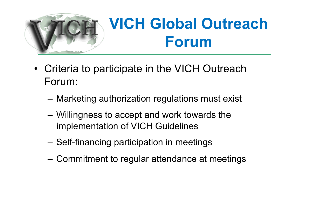

### **VICH Global Outreach Forum**

- Criteria to participate in the VICH Outreach Forum:
	- Marketing authorization regulations must exist
	- Willingness to accept and work towards the implementation of VICH Guidelines
	- Self-financing participation in meetings
	- Commitment to regular attendance at meetings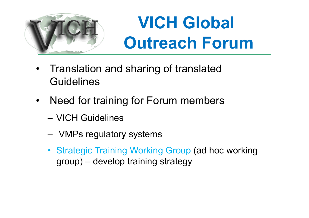

## **VICH Global Outreach Forum**

- Translation and sharing of translated **Guidelines**
- Need for training for Forum members
	- VICH Guidelines
	- VMPs regulatory systems
	- Strategic Training Working Group (ad hoc working group) – develop training strategy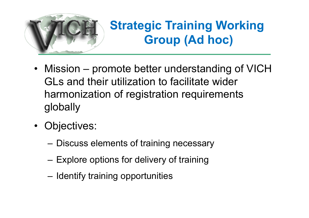

#### **Strategic Training Working Group (Ad hoc)**

- Mission promote better understanding of VICH GLs and their utilization to facilitate wider harmonization of registration requirements globally
- Objectives:
	- Discuss elements of training necessary
	- Explore options for delivery of training
	- Identify training opportunities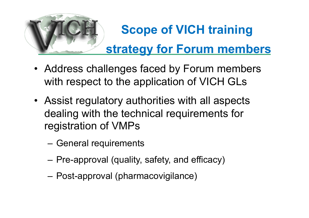

#### **Scope of VICH training**

#### **strategy for Forum members**

- Address challenges faced by Forum members with respect to the application of VICH GLs
- Assist regulatory authorities with all aspects dealing with the technical requirements for registration of VMPs
	- General requirements
	- Pre-approval (quality, safety, and efficacy)
	- Post-approval (pharmacovigilance)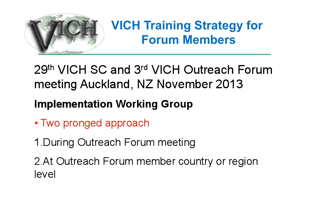

#### **VICH Training Strategy for Forum Members**

29th VICH SC and 3rd VICH Outreach Forum meeting Auckland, NZ November 2013

#### **Implementation Working Group**

- Two pronged approach
- 1. During Outreach Forum meeting

2. At Outreach Forum member country or region level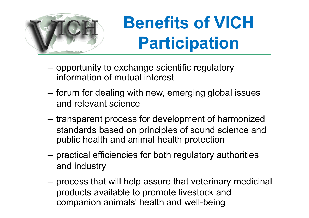

## **Benefits of VICH Participation**

- opportunity to exchange scientific regulatory information of mutual interest
- forum for dealing with new, emerging global issues and relevant science
- transparent process for development of harmonized standards based on principles of sound science and public health and animal health protection
- practical efficiencies for both regulatory authorities and industry
- process that will help assure that veterinary medicinal products available to promote livestock and companion animals' health and well-being